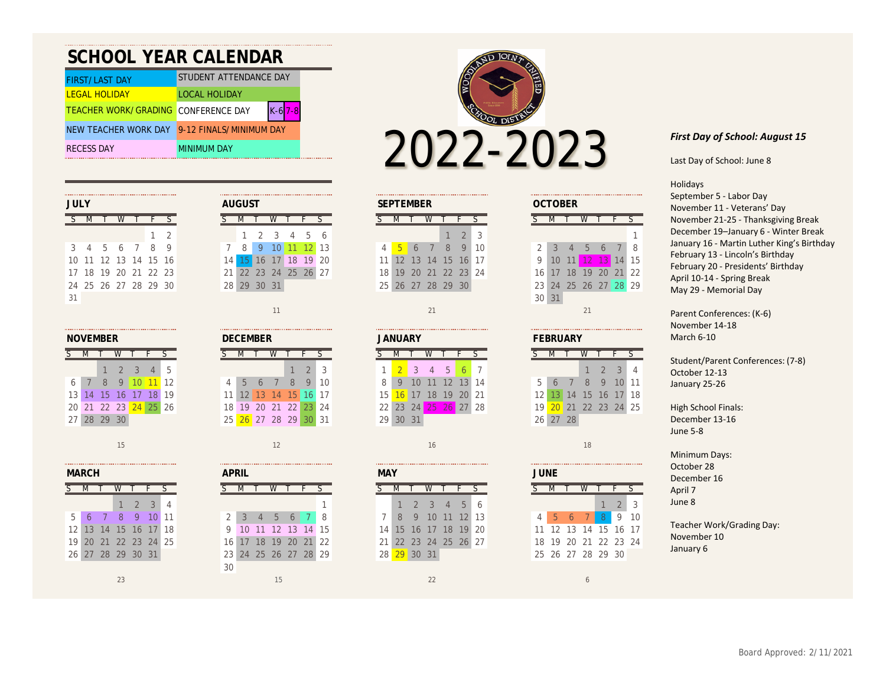| <b>SCHOOL YEAR CALENDAR</b>                     |                         |  |  |  |  |  |  |  |  |  |  |  |
|-------------------------------------------------|-------------------------|--|--|--|--|--|--|--|--|--|--|--|
| STUDENT ATTENDANCE DAY<br><b>FIRST/LAST DAY</b> |                         |  |  |  |  |  |  |  |  |  |  |  |
| <b>LEGAL HOLIDAY</b>                            | <b>LOCAL HOLIDAY</b>    |  |  |  |  |  |  |  |  |  |  |  |
| <b>TEACHER WORK/GRADING CONFERENCE DAY</b>      |                         |  |  |  |  |  |  |  |  |  |  |  |
| NEW TEACHER WORK DAY                            | 9-12 FINALS/MINIMUM DAY |  |  |  |  |  |  |  |  |  |  |  |
| <b>RECESS DAY</b>                               | <b>MINIMUM DAY</b>      |  |  |  |  |  |  |  |  |  |  |  |



| <b>JULY</b>          | <b>AUGUST</b>                                | <b>SEPTEMBER</b>          | <b>OCTOBER</b>                                      |  |  |  |  |
|----------------------|----------------------------------------------|---------------------------|-----------------------------------------------------|--|--|--|--|
|                      |                                              |                           |                                                     |  |  |  |  |
| $1 \sqrt{2}$         | 5 6<br>4                                     | $2^{\circ}$<br>3          |                                                     |  |  |  |  |
| 8<br>3 4 5 6 7       | 11 12 13<br>10 <sup>h</sup><br><b>Q</b><br>8 | 10<br>8<br>Q<br>$-5$<br>6 | -8<br>$\overline{4}$<br>$\mathcal{D}$<br>$\sqrt{2}$ |  |  |  |  |
| 10 11 12 13 14 15 16 | 19 20<br>18 <sup>°</sup><br>6                | 11 12 13 14 15<br>16 17   | 13 14 15<br>12 1<br>$10-10$<br>11 N                 |  |  |  |  |
| 17 18 19 20 21 22 23 | 21 22 23 24 25 26 27                         | 18 19 20 21 22 23 24      | 21 22<br>18 19 20<br>16 17                          |  |  |  |  |
| 24 25 26 27 28 29 30 | 28 29 30 31                                  | 25 26 27 28 29 30         | 23 24 25 26 27 28 29                                |  |  |  |  |
| 31                   |                                              |                           | 30 31                                               |  |  |  |  |

| IOVEMBER |             |   |                      |                     |                |    |  |  |  |  |  |  |
|----------|-------------|---|----------------------|---------------------|----------------|----|--|--|--|--|--|--|
|          |             |   |                      |                     |                | ς  |  |  |  |  |  |  |
|          |             |   | $1 \t2 \t3$          |                     | $\overline{4}$ | -5 |  |  |  |  |  |  |
| 6        | 7           | 8 |                      | $9 \mid 10 \mid 11$ |                | 12 |  |  |  |  |  |  |
|          |             |   | 3 14 15 16 17 18     |                     |                | 19 |  |  |  |  |  |  |
|          |             |   | 20 21 22 23 24 25 26 |                     |                |    |  |  |  |  |  |  |
|          | 27 28 29 30 |   |                      |                     |                |    |  |  |  |  |  |  |

|                 | MARCH |                |                |               |    |   |
|-----------------|-------|----------------|----------------|---------------|----|---|
|                 |       |                |                |               |    |   |
|                 |       |                |                | $\mathcal{P}$ | 3  |   |
| 5               | 6     | $\overline{7}$ | $\mathcal{B}$  | 9             | 10 | 1 |
| 12 <sup>1</sup> |       |                | 13 14 15 16    |               | 17 | 1 |
| 19              |       |                | 20 21 22 23 24 |               |    | 2 |
|                 |       |                | 26 27 28 29    | 30            | 31 |   |

| 7 |  |             |                                                                     |
|---|--|-------------|---------------------------------------------------------------------|
|   |  |             |                                                                     |
|   |  |             |                                                                     |
|   |  |             |                                                                     |
|   |  | 28 29 30 31 | 1 2 3 4 5<br>8 9 10 11 12<br>14 15 16 17 18 19<br>21 22 23 24 25 26 |

| <b>NOVEMBER</b> |       |    |               |                 |                 | <b>DECEMBER</b>   |  |    |              |           |     | <b>JANUARY</b> |               |           |  |                 | <b>FEBRUAR</b> |    |                 |    |         |    |  |                 |  |    |
|-----------------|-------|----|---------------|-----------------|-----------------|-------------------|--|----|--------------|-----------|-----|----------------|---------------|-----------|--|-----------------|----------------|----|-----------------|----|---------|----|--|-----------------|--|----|
|                 |       |    |               |                 |                 |                   |  |    |              |           |     |                |               |           |  |                 |                |    |                 |    |         |    |  |                 |  |    |
|                 |       |    |               |                 | $\Delta$        | $\overline{5}$    |  |    |              |           |     |                | $\mathcal{D}$ | 3         |  |                 |                |    | $\Delta$        | 5  |         |    |  |                 |  |    |
| 6               |       | 8  |               |                 |                 | $\blacksquare$ 12 |  | 4  | $\mathbf{D}$ |           |     | 8              | Q             | 10        |  | 8               | 9              | 10 |                 |    |         | 14 |  | 5               |  |    |
| 13 <sub>h</sub> | 14    | 15 | 16            |                 | 18 <sub>1</sub> | 19                |  | 11 |              | 13        | 14. | 15             |               |           |  | 15              | $\sigma$       |    | 18 <sup>1</sup> | 19 | 20      | 21 |  | 12              |  | 14 |
|                 | 20 21 |    | $22 \quad 23$ | 24 <sup>1</sup> | 25              | 26                |  |    | 18 19        | 20        | 21  | 22             |               | $23 \ 24$ |  | 22              | 23             | 24 | 25              |    | $26$ 27 | 28 |  | 19 <sub>h</sub> |  | 21 |
| 27 <sup>1</sup> | 28    | 29 | 30            |                 |                 |                   |  | 25 |              | $26 \ 27$ | 28  | 29             |               | 31        |  | 29 <sup>1</sup> | 30             | 31 |                 |    |         |    |  | 26              |  | 28 |

| <b>MARCH</b>    |       |             |   |   |                |    |
|-----------------|-------|-------------|---|---|----------------|----|
|                 |       |             |   |   |                |    |
|                 |       |             |   |   | $\mathbf{R}$   | 4  |
| 5               |       |             | 8 | 9 |                | 11 |
| 12 <sub>1</sub> | 13    | 14 15       |   |   | 16 17 18       |    |
| 19 <sup>1</sup> | 20    |             |   |   | 21 22 23 24 25 |    |
|                 | 26 27 | 28 29 30 31 |   |   |                |    |
|                 |       |             |   |   |                |    |

| AUGUST          |       |          |                      |  |  |  |
|-----------------|-------|----------|----------------------|--|--|--|
| ζ.              |       |          |                      |  |  |  |
|                 |       |          | 1 2 3 4 5 6          |  |  |  |
|                 | 7 8 9 |          | $10$ 11 12 13        |  |  |  |
| 14 I            |       |          | 15 16 17 18 19 20    |  |  |  |
|                 |       |          | 21 22 23 24 25 26 27 |  |  |  |
| 28 <sup>1</sup> |       | 29 30 31 |                      |  |  |  |

 $15$  15  $-$  16  $-$  16  $-$  16  $-$  16  $-$  16  $-$  16  $-$  16  $-$  16  $-$  16  $-$  16  $-$  18  $-$  18  $-$  18  $-$  18  $-$  18  $-$  18  $-$  18  $-$  18  $-$  18  $-$  18  $-$  18  $-$  18  $-$  18  $-$  18  $-$  18  $-$  18  $-$  18  $-$  18  $-$  18  $-$  18  $-$ 

| V  |       |                 | $\overline{\phantom{a}}$ |
|----|-------|-----------------|--------------------------|
| 3  | 4     | 5               | - 6                      |
|    | 10 11 | 12 <sup>1</sup> | 13                       |
|    |       | 17 18 19        | -20                      |
|    |       | 24 25 26 27     |                          |
| 31 |       |                 |                          |
|    |       |                 |                          |
| 11 |       |                 |                          |

| FFBRUARY |                   |                |   |                |                 |    |  |  |  |  |  |  |
|----------|-------------------|----------------|---|----------------|-----------------|----|--|--|--|--|--|--|
|          |                   |                |   |                |                 |    |  |  |  |  |  |  |
|          |                   |                |   | $1 \t2 \t3$    |                 |    |  |  |  |  |  |  |
| 5        | $\sqrt{6}$        | $\overline{7}$ | 8 | 9 <sup>°</sup> | 10 <sup>1</sup> | 11 |  |  |  |  |  |  |
|          | 12 13 14 15 16 17 |                |   |                |                 | 18 |  |  |  |  |  |  |
| 19       | 20 21 22 23 24 25 |                |   |                |                 |    |  |  |  |  |  |  |
|          | 26 27 28          |                |   |                |                 |    |  |  |  |  |  |  |

|                 | <b>MAY</b> |                |                   |                |            |     |  |  |  |
|-----------------|------------|----------------|-------------------|----------------|------------|-----|--|--|--|
| ς               |            |                |                   |                |            |     |  |  |  |
|                 | 47         |                | $2 \quad 3$       | 4 <sup>7</sup> | $5-1$      | - 6 |  |  |  |
| <b>7</b> I      | - 8        | $\overline{9}$ | $-10$             |                | $11$ 12 13 |     |  |  |  |
| 14 <sup>1</sup> |            |                | 15 16 17 18 19    |                |            | 20  |  |  |  |
| 211             |            |                | 22 23 24 25 26 27 |                |            |     |  |  |  |
| 28              | -29        |                |                   |                |            |     |  |  |  |

Last Day of School: June 8

## Holidays

September 5 - Labor Day November 11 - Veterans' Day November 21-25 - Thanksgiving Break December 19–January 6 - Winter Break January 16 - Martin Luther King's Birthday February 13 - Lincoln's Birthday February 20 - Presidents' Birthday April 10-14 - Spring Break May 29 - Memorial Day

Parent Conferences: (K-6) November 14-18 March 6-10

Student/Parent Conferences: (7-8) October 12-13 January 25-26

High School Finals: December 13-16 June 5-8

Minimum Days: October 28 December 16 April 7 June 8

Teacher Work/Grading Day: November 10 January 6

## $23$   $22$